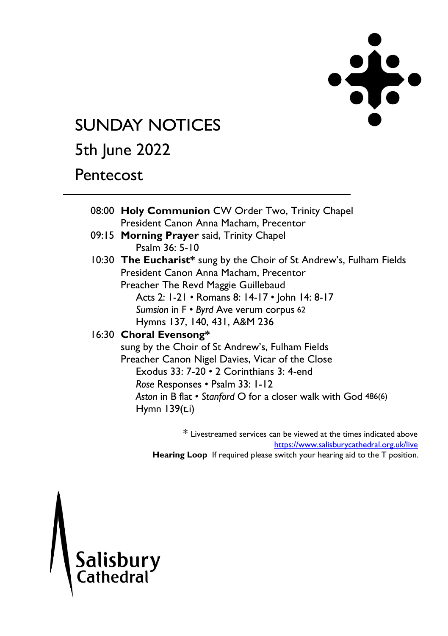

# **SUNDAY NOTICES**

# 5th June 2022

## **Pentecost**

|  | 08:00 Holy Communion CW Order Two, Trinity Chapel                    |  |  |
|--|----------------------------------------------------------------------|--|--|
|  | President Canon Anna Macham, Precentor                               |  |  |
|  | 09:15 Morning Prayer said, Trinity Chapel                            |  |  |
|  | Psalm $36: 5-10$                                                     |  |  |
|  | 10:30 The Eucharist* sung by the Choir of St Andrew's, Fulham Fields |  |  |
|  | President Canon Anna Macham, Precentor                               |  |  |
|  | Preacher The Revd Maggie Guillebaud                                  |  |  |
|  | Acts 2: 1-21 • Romans 8: 14-17 • John 14: 8-17                       |  |  |
|  | Sumsion in F . Byrd Ave verum corpus 62                              |  |  |
|  | Hymns 137, 140, 431, A&M 236                                         |  |  |
|  | 16:30 Choral Evensong*                                               |  |  |
|  | sung by the Choir of St Andrew's, Fulham Fields                      |  |  |
|  | Preacher Canon Nigel Davies, Vicar of the Close                      |  |  |
|  | Exodus $33: 7-20 \cdot 2$ Corinthians $3: 4$ -end                    |  |  |
|  | Rose Responses • Psalm 33: 1-12                                      |  |  |
|  | Aston in B flat • Stanford O for a closer walk with God 486(6)       |  |  |
|  | Hymn $139(t.i)$                                                      |  |  |
|  |                                                                      |  |  |
|  |                                                                      |  |  |

\* Livestreamed services can be viewed at the times indicated above <https://www.salisburycathedral.org.uk/live> **Hearing Loop** If required please switch your hearing aid to the T position.

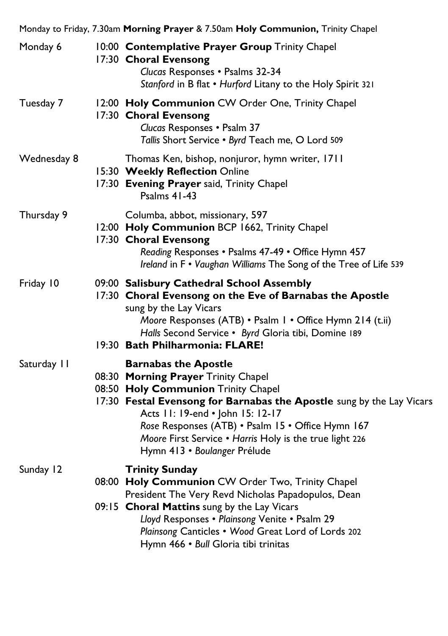| Monday 6    | 10:00 Contemplative Prayer Group Trinity Chapel<br>17:30 Choral Evensong<br>Clucas Responses . Psalms 32-34<br>Stanford in B flat . Hurford Litany to the Holy Spirit 321                                                                                                                                                                                              |
|-------------|------------------------------------------------------------------------------------------------------------------------------------------------------------------------------------------------------------------------------------------------------------------------------------------------------------------------------------------------------------------------|
| Tuesday 7   | 12:00 Holy Communion CW Order One, Trinity Chapel<br>17:30 Choral Evensong<br>Clucas Responses . Psalm 37<br>Tallis Short Service . Byrd Teach me, O Lord 509                                                                                                                                                                                                          |
| Wednesday 8 | Thomas Ken, bishop, nonjuror, hymn writer, 1711<br>15:30 Weekly Reflection Online<br>17:30 Evening Prayer said, Trinity Chapel<br><b>Psalms 41-43</b>                                                                                                                                                                                                                  |
| Thursday 9  | Columba, abbot, missionary, 597<br>12:00 Holy Communion BCP 1662, Trinity Chapel<br>17:30 Choral Evensong<br>Reading Responses . Psalms 47-49 . Office Hymn 457<br>Ireland in F . Vaughan Williams The Song of the Tree of Life 539                                                                                                                                    |
| Friday 10   | 09:00 Salisbury Cathedral School Assembly<br>17:30 Choral Evensong on the Eve of Barnabas the Apostle<br>sung by the Lay Vicars<br>Moore Responses (ATB) • Psalm I • Office Hymn 214 (t.ii)<br>Halls Second Service · Byrd Gloria tibi, Domine 189<br>19:30 Bath Philharmonia: FLARE!                                                                                  |
| Saturday II | <b>Barnabas the Apostle</b><br>08:30 Morning Prayer Trinity Chapel<br>08:50 Holy Communion Trinity Chapel<br>17:30 Festal Evensong for Barnabas the Apostle sung by the Lay Vicars<br>Acts 11: 19-end . John 15: 12-17<br>Rose Responses (ATB) · Psalm 15 · Office Hymn 167<br>Moore First Service . Harris Holy is the true light 226<br>Hymn 413 · Boulanger Prélude |
| Sunday 12   | <b>Trinity Sunday</b><br>08:00 Holy Communion CW Order Two, Trinity Chapel<br>President The Very Revd Nicholas Papadopulos, Dean<br>09:15 Choral Mattins sung by the Lay Vicars<br>Lloyd Responses . Plainsong Venite . Psalm 29<br>Plainsong Canticles . Wood Great Lord of Lords 202<br>Hymn 466 · Bull Gloria tibi trinitas                                         |

Monday to Friday, 7.30am **Morning Prayer** & 7.50am **Holy Communion,** Trinity Chapel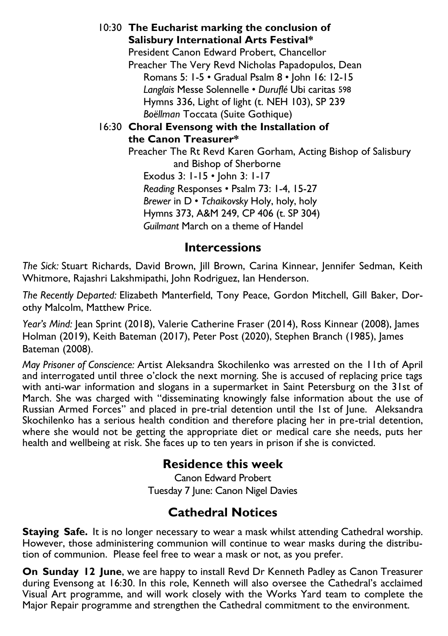10:30 **The Eucharist marking the conclusion of Salisbury International Arts Festival\***  President Canon Edward Probert, Chancellor Preacher The Very Revd Nicholas Papadopulos, Dean Romans 5: 1-5 • Gradual Psalm 8 • John 16: 12-15 *Langlais* Messe Solennelle • *Duruflé* Ubi caritas 598 Hymns 336, Light of light (t. NEH 103), SP 239 *Boëllman* Toccata (Suite Gothique) 16:30 **Choral Evensong with the Installation of the Canon Treasurer\***  Preacher The Rt Revd Karen Gorham, Acting Bishop of Salisbury and Bishop of Sherborne Exodus 3: 1-15 • John 3: 1-17 *Reading* Responses • Psalm 73: 1-4, 15-27 *Brewer* in D • *Tchaikovsky* Holy, holy, holy Hymns 373, A&M 249, CP 406 (t. SP 304) *Guilmant* March on a theme of Handel

#### **Intercessions**

*The Sick:* Stuart Richards, David Brown, Jill Brown, Carina Kinnear, Jennifer Sedman, Keith Whitmore, Rajashri Lakshmipathi, John Rodriguez, Ian Henderson.

*The Recently Departed:* Elizabeth Manterfield, Tony Peace, Gordon Mitchell, Gill Baker, Dorothy Malcolm, Matthew Price.

*Year's Mind:* Jean Sprint (2018), Valerie Catherine Fraser (2014), Ross Kinnear (2008), James Holman (2019), Keith Bateman (2017), Peter Post (2020), Stephen Branch (1985), James Bateman (2008).

*May Prisoner of Conscience:* Artist Aleksandra Skochilenko was arrested on the 11th of April and interrogated until three o'clock the next morning. She is accused of replacing price tags with anti-war information and slogans in a supermarket in Saint Petersburg on the 31st of March. She was charged with "disseminating knowingly false information about the use of Russian Armed Forces" and placed in pre-trial detention until the 1st of June. Aleksandra Skochilenko has a serious health condition and therefore placing her in pre-trial detention, where she would not be getting the appropriate diet or medical care she needs, puts her health and wellbeing at risk. She faces up to ten years in prison if she is convicted.

### **Residence this week**

Canon Edward Probert Tuesday 7 June: Canon Nigel Davies

### **Cathedral Notices**

**Staying Safe.** It is no longer necessary to wear a mask whilst attending Cathedral worship. However, those administering communion will continue to wear masks during the distribution of communion. Please feel free to wear a mask or not, as you prefer.

**On Sunday 12 June**, we are happy to install Revd Dr Kenneth Padley as Canon Treasurer during Evensong at 16:30. In this role, Kenneth will also oversee the Cathedral's acclaimed Visual Art programme, and will work closely with the Works Yard team to complete the Major Repair programme and strengthen the Cathedral commitment to the environment.